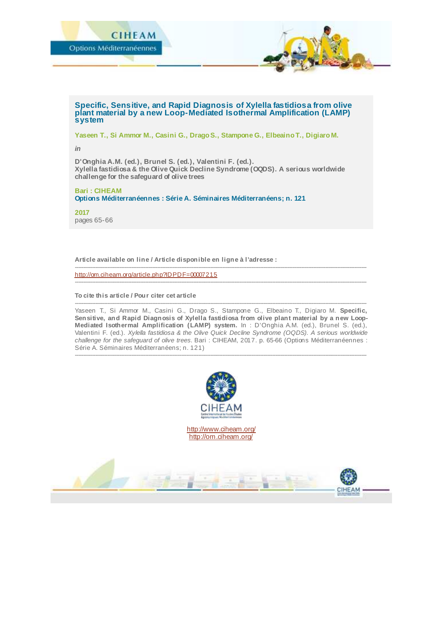

#### **Specific, Sensitive, and Rapid Diagnosis of Xylella fastidiosa from olive plant material by a new Loop-Mediated Isothermal Amplification (LAMP) system**

**Yaseen T., Si Ammor M., Casini G., Drago S., Stampone G., Elbeaino T., Digiaro M.**

*in*

**D'Onghia A.M. (ed.), Brunel S. (ed.), Valentini F. (ed.). Xylella fastidiosa & the Olive Quick Decline Syndrome (OQDS). A serious worldwide challenge for the safeguard of olive trees**

# **Bari : CIHEAM**

**Options Méditerranéennes : Série A. Séminaires Méditerranéens; n. 121**

**2017** pages 65-66

**Article available on line / Article disponible en ligne à l'adresse :**

<http://om.ciheam.org/article.php?IDPDF=00007215>

#### **To cite this article / Pour citer cet article**

-------------------------------------------------------------------------------------------------------------------------------------------------------------------------- Yaseen T., Si Ammor M., Casini G., Drago S., Stampone G., Elbeaino T., Digiaro M. **Specific, Sensitive, and Rapid Diagnosis of Xylella fastidiosa from olive plant material by a new Loop-Mediated Isothermal Amplification (LAMP) system.** In : D'Onghia A.M. (ed.), Brunel S. (ed.), Valentini F. (ed.). *Xylella fastidiosa & the Olive Quick Decline Syndrome (OQDS). A serious worldwide challenge for the safeguard of olive trees.* Bari : CIHEAM, 2017. p. 65-66 (Options Méditerranéennes : Série A. Séminaires Méditerranéens; n. 121)

--------------------------------------------------------------------------------------------------------------------------------------------------------------------------

--------------------------------------------------------------------------------------------------------------------------------------------------------------------------

--------------------------------------------------------------------------------------------------------------------------------------------------------------------------



<http://www.ciheam.org/> <http://om.ciheam.org/>

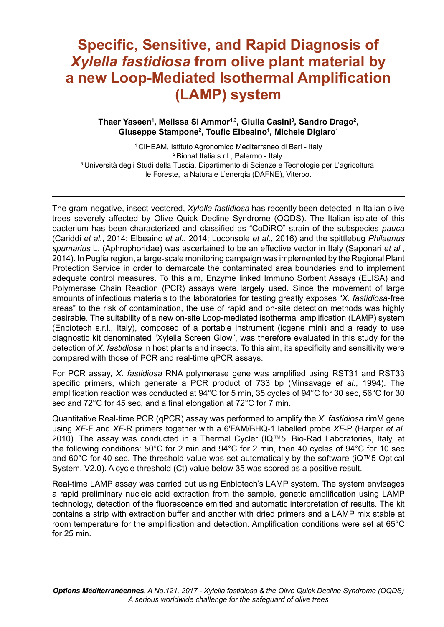# **Specific, Sensitive, and Rapid Diagnosis of** *Xylella fastidiosa* **from olive plant material by a new Loop-Mediated Isothermal Ampliication (LAMP) system**

## **Thaer Yaseen<sup>1</sup> , Melissa Si Ammor1,3, Giulia Casini<sup>3</sup> , Sandro Drago<sup>2</sup> , Giuseppe Stampone<sup>2</sup> , Touic Elbeaino<sup>1</sup> , Michele Digiaro<sup>1</sup>**

<sup>1</sup>CIHEAM, Istituto Agronomico Mediterraneo di Bari - Italy <sup>2</sup>Bionat Italia s.r.l., Palermo - Italy. <sup>3</sup> Università degli Studi della Tuscia, Dipartimento di Scienze e Tecnologie per L'agricoltura, le Foreste, la Natura e L'energia (DAFNE), Viterbo.

The gram-negative, insect-vectored, *Xylella fastidiosa* has recently been detected in Italian olive trees severely affected by Olive Quick Decline Syndrome (OQDS). The Italian isolate of this bacterium has been characterized and classiied as "CoDiRO" strain of the subspecies *pauca* (Cariddi *et al.*, 2014; Elbeaino *et al.*, 2014; Loconsole *et al.*, 2016) and the spittlebug *Philaenus spumarius* L. (Aphrophoridae) was ascertained to be an effective vector in Italy (Saponari *et al.*, 2014). In Puglia region, a large-scale monitoring campaign was implemented by the Regional Plant Protection Service in order to demarcate the contaminated area boundaries and to implement adequate control measures. To this aim, Enzyme linked Immuno Sorbent Assays (ELISA) and Polymerase Chain Reaction (PCR) assays were largely used. Since the movement of large amounts of infectious materials to the laboratories for testing greatly exposes "X. fastidiosa-free areas" to the risk of contamination, the use of rapid and on-site detection methods was highly desirable. The suitability of a new on-site Loop-mediated isothermal amplification (LAMP) system (Enbiotech s.r.l., Italy), composed of a portable instrument (icgene mini) and a ready to use diagnostic kit denominated "Xylella Screen Glow", was therefore evaluated in this study for the detection of *X. fastidiosa* in host plants and insects. To this aim, its specificity and sensitivity were compared with those of PCR and real-time qPCR assays.

For PCR assay, *X. fastidiosa* RNA polymerase gene was ampliied using RST31 and RST33 specific primers, which generate a PCR product of 733 bp (Minsavage *et al.*, 1994). The amplification reaction was conducted at 94°C for 5 min, 35 cycles of 94°C for 30 sec, 56°C for 30 sec and 72°C for 45 sec, and a final elongation at 72°C for 7 min.

Quantitative Real-time PCR (qPCR) assay was performed to amplify the *X. fastidiosa* rimM gene using *XF-F* and *XF-R* primers together with a 6'FAM/BHQ-1 labelled probe *XF-P* (Harper *et al.* 2010). The assay was conducted in a Thermal Cycler ( $IQ™5$ , Bio-Rad Laboratories, Italy, at the following conditions: 50°C for 2 min and 94°C for 2 min, then 40 cycles of 94°C for 10 sec and 60 $^{\circ}$ C for 40 sec. The threshold value was set automatically by the software (iQ<sup> $M$ </sup>5 Optical System, V2.0). A cycle threshold (Ct) value below 35 was scored as a positive result.

Real-time LAMP assay was carried out using Enbiotech's LAMP system. The system envisages a rapid preliminary nucleic acid extraction from the sample, genetic ampliication using LAMP technology, detection of the luorescence emitted and automatic interpretation of results. The kit contains a strip with extraction buffer and another with dried primers and a LAMP mix stable at room temperature for the ampliication and detection. Ampliication conditions were set at 65°C for 25 min.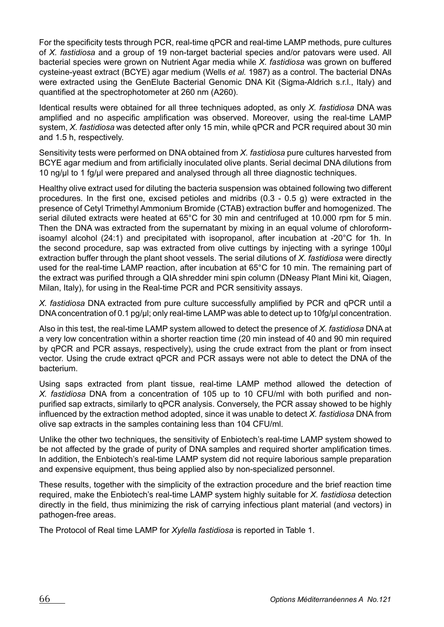For the specificity tests through PCR, real-time gPCR and real-time LAMP methods, pure cultures of *X. fastidiosa* and a group of 19 non-target bacterial species and/or patovars were used. All bacterial species were grown on Nutrient Agar media while *X. fastidiosa* was grown on buffered cysteine-yeast extract (BCYE) agar medium (Wells *et al.* 1987) as a control. The bacterial DNAs were extracted using the GenElute Bacterial Genomic DNA Kit (Sigma-Aldrich s.r.l., Italy) and quantified at the spectrophotometer at 260 nm (A260).

Identical results were obtained for all three techniques adopted, as only *X. fastidiosa* DNA was amplified and no aspecific amplification was observed. Moreover, using the real-time LAMP system, *X. fastidiosa* was detected after only 15 min, while qPCR and PCR required about 30 min and 1.5 h, respectively.

Sensitivity tests were performed on DNA obtained from *X. fastidiosa* pure cultures harvested from BCYE agar medium and from artificially inoculated olive plants. Serial decimal DNA dilutions from 10 ng/ul to 1 fg/ul were prepared and analysed through all three diagnostic techniques.

Healthy olive extract used for diluting the bacteria suspension was obtained following two different procedures. In the first one, excised petioles and midribs  $(0.3 - 0.5$  g) were extracted in the presence of Cetyl Trimethyl Ammonium Bromide (CTAB) extraction buffer and homogenized. The serial diluted extracts were heated at 65°C for 30 min and centrifuged at 10.000 rpm for 5 min. Then the DNA was extracted from the supernatant by mixing in an equal volume of chloroformisoamyl alcohol (24:1) and precipitated with isopropanol, after incubation at -20°C for 1h. In the second procedure, sap was extracted from olive cuttings by injecting with a syringe 100µl extraction buffer through the plant shoot vessels. The serial dilutions of *X. fastidiosa* were directly used for the real-time LAMP reaction, after incubation at 65°C for 10 min. The remaining part of the extract was purified through a QIA shredder mini spin column (DNeasy Plant Mini kit, Qiagen, Milan, Italy), for using in the Real-time PCR and PCR sensitivity assays.

*X. fastidiosa* DNA extracted from pure culture successfully ampliied by PCR and qPCR until a DNA concentration of 0.1 pg/µl; only real-time LAMP was able to detect up to 10fg/µl concentration.

Also in this test, the real-time LAMP system allowed to detect the presence of *X. fastidiosa* DNA at a very low concentration within a shorter reaction time (20 min instead of 40 and 90 min required by qPCR and PCR assays, respectively), using the crude extract from the plant or from insect vector. Using the crude extract qPCR and PCR assays were not able to detect the DNA of the bacterium.

Using saps extracted from plant tissue, real-time LAMP method allowed the detection of *X. fastidiosa* DNA from a concentration of 105 up to 10 CFU/ml with both puriied and nonpurified sap extracts, similarly to qPCR analysis. Conversely, the PCR assay showed to be highly inluenced by the extraction method adopted, since it was unable to detect *X. fastidiosa* DNA from olive sap extracts in the samples containing less than 104 CFU/ml.

Unlike the other two techniques, the sensitivity of Enbiotechís real-time LAMP system showed to be not affected by the grade of purity of DNA samples and required shorter ampliication times. In addition, the Enbiotech's real-time LAMP system did not require laborious sample preparation and expensive equipment, thus being applied also by non-specialized personnel.

These results, together with the simplicity of the extraction procedure and the brief reaction time required, make the Enbiotechís real-time LAMP system highly suitable for *X. fastidiosa* detection directly in the ield, thus minimizing the risk of carrying infectious plant material (and vectors) in pathogen-free areas.

The Protocol of Real time LAMP for *Xylella fastidiosa* is reported in Table 1.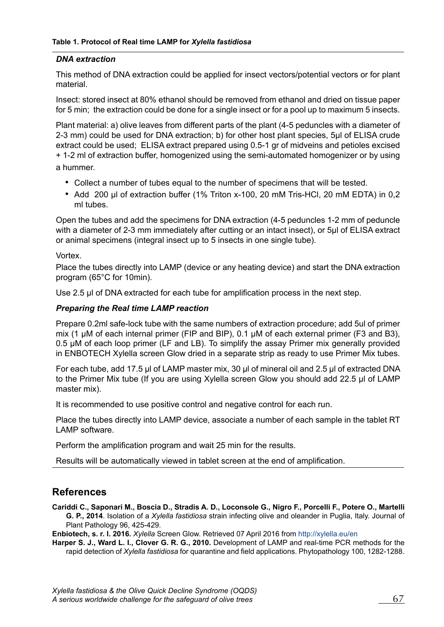### *DNA extraction*

This method of DNA extraction could be applied for insect vectors/potential vectors or for plant material.

Insect: stored insect at 80% ethanol should be removed from ethanol and dried on tissue paper for 5 min; the extraction could be done for a single insect or for a pool up to maximum 5 insects.

Plant material: a) olive leaves from different parts of the plant (4-5 peduncles with a diameter of 2-3 mm) could be used for DNA extraction; b) for other host plant species, 5µl of ELISA crude extract could be used; ELISA extract prepared using 0.5-1 gr of midveins and petioles excised + 1-2 ml of extraction buffer, homogenized using the semi-automated homogenizer or by using a hummer.

- Collect a number of tubes equal to the number of specimens that will be tested.
- Add 200 µl of extraction buffer (1% Triton x-100, 20 mM Tris-HCl, 20 mM EDTA) in 0,2 ml tubes.

Open the tubes and add the specimens for DNA extraction (4-5 peduncles 1-2 mm of peduncle with a diameter of 2-3 mm immediately after cutting or an intact insect), or 5µl of ELISA extract or animal specimens (integral insect up to 5 insects in one single tube).

Vortex.

Place the tubes directly into LAMP (device or any heating device) and start the DNA extraction program (65°C for 10min).

Use 2.5  $\mu$  of DNA extracted for each tube for amplification process in the next step.

### *Preparing the Real time LAMP reaction*

Prepare 0.2ml safe-lock tube with the same numbers of extraction procedure; add 5ul of primer mix (1  $\mu$ M of each internal primer (FIP and BIP), 0.1  $\mu$ M of each external primer (F3 and B3), 0.5 µM of each loop primer (LF and LB). To simplify the assay Primer mix generally provided in ENBOTECH Xylella screen Glow dried in a separate strip as ready to use Primer Mix tubes.

For each tube, add 17.5 µl of LAMP master mix, 30 µl of mineral oil and 2.5 µl of extracted DNA to the Primer Mix tube (If you are using Xylella screen Glow you should add 22.5 µl of LAMP master mix).

It is recommended to use positive control and negative control for each run.

Place the tubes directly into LAMP device, associate a number of each sample in the tablet RT LAMP software.

Perform the amplification program and wait 25 min for the results.

Results will be automatically viewed in tablet screen at the end of ampliication.

# **References**

**Cariddi C., Saponari M., Boscia D., Stradis A. D., Loconsole G., Nigro F., Porcelli F., Potere O., Martelli G. P., 2014**. Isolation of a *Xylella fastidiosa* strain infecting olive and oleander in Puglia, Italy. Journal of Plant Pathology 96, 425-429.

**Enbiotech, s. r. l. 2016.** *Xylella* Screen Glow. Retrieved 07 April 2016 from http://xylella.eu/en

**Harper S. J., Ward L. I., Clover G. R. G., 2010.** Development of LAMP and real-time PCR methods for the rapid detection of *Xylella fastidiosa* for quarantine and ield applications. Phytopathology 100, 1282-1288.